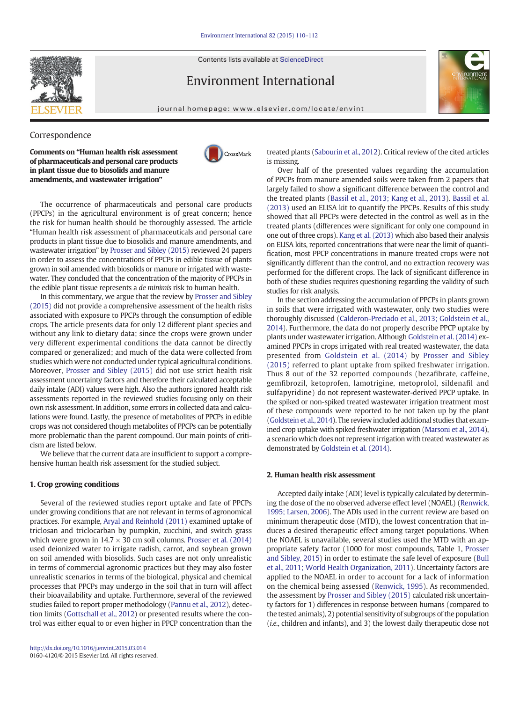Contents lists available at ScienceDirect



Environment International





# Correspondence

Comments on "Human health risk assessment of pharmaceuticals and personal care products in plant tissue due to biosolids and manure amendments, and wastewater irrigation"



The occurrence of pharmaceuticals and personal care products (PPCPs) in the agricultural environment is of great concern; hence the risk for human health should be thoroughly assessed. The article "Human health risk assessment of pharmaceuticals and personal care products in plant tissue due to biosolids and manure amendments, and wastewater irrigation" by [Prosser and Sibley \(2015\)](#page-2-0) reviewed 24 papers in order to assess the concentrations of PPCPs in edible tissue of plants grown in soil amended with biosolids or manure or irrigated with wastewater. They concluded that the concentration of the majority of PPCPs in the edible plant tissue represents a de minimis risk to human health.

In this commentary, we argue that the review by [Prosser and Sibley](#page-2-0) [\(2015\)](#page-2-0) did not provide a comprehensive assessment of the health risks associated with exposure to PPCPs through the consumption of edible crops. The article presents data for only 12 different plant species and without any link to dietary data; since the crops were grown under very different experimental conditions the data cannot be directly compared or generalized; and much of the data were collected from studies which were not conducted under typical agricultural conditions. Moreover, [Prosser and Sibley \(2015\)](#page-2-0) did not use strict health risk assessment uncertainty factors and therefore their calculated acceptable daily intake (ADI) values were high. Also the authors ignored health risk assessments reported in the reviewed studies focusing only on their own risk assessment. In addition, some errors in collected data and calculations were found. Lastly, the presence of metabolites of PPCPs in edible crops was not considered though metabolites of PPCPs can be potentially more problematic than the parent compound. Our main points of criticism are listed below.

We believe that the current data are insufficient to support a comprehensive human health risk assessment for the studied subject.

### 1. Crop growing conditions

Several of the reviewed studies report uptake and fate of PPCPs under growing conditions that are not relevant in terms of agronomical practices. For example, [Aryal and Reinhold \(2011\)](#page-2-0) examined uptake of triclosan and triclocarban by pumpkin, zucchini, and switch grass which were grown in  $14.7 \times 30$  cm soil columns. [Prosser et al. \(2014\)](#page-2-0) used deionized water to irrigate radish, carrot, and soybean grown on soil amended with biosolids. Such cases are not only unrealistic in terms of commercial agronomic practices but they may also foster unrealistic scenarios in terms of the biological, physical and chemical processes that PPCPs may undergo in the soil that in turn will affect their bioavailability and uptake. Furthermore, several of the reviewed studies failed to report proper methodology [\(Pannu et al., 2012](#page-2-0)), detection limits ([Gottschall et al., 2012\)](#page-2-0) or presented results where the control was either equal to or even higher in PPCP concentration than the

treated plants ([Sabourin et al., 2012\)](#page-2-0). Critical review of the cited articles is missing.

Over half of the presented values regarding the accumulation of PPCPs from manure amended soils were taken from 2 papers that largely failed to show a significant difference between the control and the treated plants ([Bassil et al., 2013; Kang et al., 2013\)](#page-2-0). [Bassil et al.](#page-2-0) [\(2013\)](#page-2-0) used an ELISA kit to quantify the PPCPs. Results of this study showed that all PPCPs were detected in the control as well as in the treated plants (differences were significant for only one compound in one out of three crops). [Kang et al. \(2013\)](#page-2-0) which also based their analysis on ELISA kits, reported concentrations that were near the limit of quantification, most PPCP concentrations in manure treated crops were not significantly different than the control, and no extraction recovery was performed for the different crops. The lack of significant difference in both of these studies requires questioning regarding the validity of such studies for risk analysis.

In the section addressing the accumulation of PPCPs in plants grown in soils that were irrigated with wastewater, only two studies were thoroughly discussed [\(Calderon-Preciado et al., 2013; Goldstein et al.,](#page-2-0) [2014\)](#page-2-0). Furthermore, the data do not properly describe PPCP uptake by plants under wastewater irrigation. Although [Goldstein et al. \(2014\)](#page-2-0) examined PPCPs in crops irrigated with real treated wastewater, the data presented from [Goldstein et al. \(2014\)](#page-2-0) by [Prosser and Sibley](#page-2-0) [\(2015\)](#page-2-0) referred to plant uptake from spiked freshwater irrigation. Thus 8 out of the 32 reported compounds (bezafibrate, caffeine, gemfibrozil, ketoprofen, lamotrigine, metoprolol, sildenafil and sulfapyridine) do not represent wastewater-derived PPCP uptake. In the spiked or non-spiked treated wastewater irrigation treatment most of these compounds were reported to be not taken up by the plant [\(Goldstein et al., 2014\)](#page-2-0). The review included additional studies that examined crop uptake with spiked freshwater irrigation [\(Marsoni et al., 2014\)](#page-2-0), a scenario which does not represent irrigation with treated wastewater as demonstrated by [Goldstein et al. \(2014\).](#page-2-0)

## 2. Human health risk assessment

Accepted daily intake (ADI) level is typically calculated by determining the dose of the no observed adverse effect level (NOAEL) ([Renwick,](#page-2-0) [1995; Larsen, 2006](#page-2-0)). The ADIs used in the current review are based on minimum therapeutic dose (MTD), the lowest concentration that induces a desired therapeutic effect among target populations. When the NOAEL is unavailable, several studies used the MTD with an appropriate safety factor (1000 for most compounds, Table 1, [Prosser](#page-2-0) [and Sibley, 2015](#page-2-0)) in order to estimate the safe level of exposure ([Bull](#page-2-0) [et al., 2011; World Health Organization, 2011\)](#page-2-0). Uncertainty factors are applied to the NOAEL in order to account for a lack of information on the chemical being assessed ([Renwick, 1995](#page-2-0)). As recommended, the assessment by [Prosser and Sibley \(2015\)](#page-2-0) calculated risk uncertainty factors for 1) differences in response between humans (compared to the tested animals), 2) potential sensitivity of subgroups of the population (i.e., children and infants), and 3) the lowest daily therapeutic dose not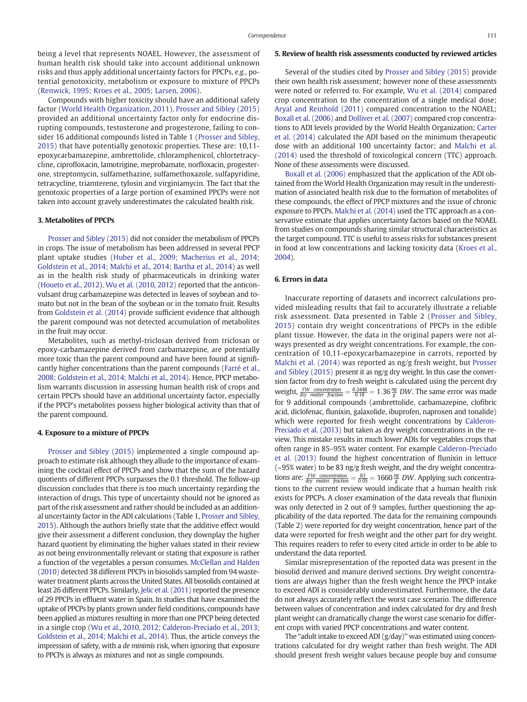being a level that represents NOAEL. However, the assessment of human health risk should take into account additional unknown risks and thus apply additional uncertainty factors for PPCPs, e.g., potential genotoxicity, metabolism or exposure to mixture of PPCPs [\(Renwick, 1995; Kroes et al., 2005; Larsen, 2006](#page-2-0)).

Compounds with higher toxicity should have an additional safety factor ([World Health Organization, 2011\)](#page-2-0). [Prosser and Sibley \(2015\)](#page-2-0) provided an additional uncertainty factor only for endocrine disrupting compounds, testosterone and progesterone, failing to consider 16 additional compounds listed in Table 1 [\(Prosser and Sibley,](#page-2-0) [2015](#page-2-0)) that have potentially genotoxic properties. These are: 10,11 epoxycarbamazepine, ambrettolide, chloramphenicol, chlortetracycline, ciprofloxacin, lamotrigine, meprobamate, norfloxacin, progesterone, streptomycin, sulfamethazine, sulfamethoxazole, sulfapyridine, tetracycline, triamterene, tylosin and virginiamycin. The fact that the genotoxic properties of a large portion of examined PPCPs were not taken into account gravely underestimates the calculated health risk.

## 3. Metabolites of PPCPs

[Prosser and Sibley \(2015\)](#page-2-0) did not consider the metabolism of PPCPs in crops. The issue of metabolism has been addressed in several PPCP plant uptake studies [\(Huber et al., 2009; Macherius et al., 2014;](#page-2-0) [Goldstein et al., 2014; Malchi et al., 2014; Bartha et al., 2014](#page-2-0)) as well as in the health risk study of pharmaceuticals in drinking water [\(Houeto et al., 2012](#page-2-0)). [Wu et al. \(2010, 2012\)](#page-2-0) reported that the anticonvulsant drug carbamazepine was detected in leaves of soybean and tomato but not in the bean of the soybean or in the tomato fruit. Results from [Goldstein et al. \(2014\)](#page-2-0) provide sufficient evidence that although the parent compound was not detected accumulation of metabolites in the fruit may occur.

Metabolites, such as methyl-triclosan derived from triclosan or epoxy-carbamazepine derived from carbamazepine, are potentially more toxic than the parent compound and have been found at significantly higher concentrations than the parent compounds ([Farré et al.,](#page-2-0) [2008; Goldstein et al., 2014; Malchi et al., 2014\)](#page-2-0). Hence, PPCP metabolism warrants discussion in assessing human health risk of crops and certain PPCPs should have an additional uncertainty factor, especially if the PPCP's metabolites possess higher biological activity than that of the parent compound.

### 4. Exposure to a mixture of PPCPs

[Prosser and Sibley \(2015\)](#page-2-0) implemented a single compound approach to estimate risk although they allude to the importance of examining the cocktail effect of PPCPs and show that the sum of the hazard quotients of different PPCPs surpasses the 0.1 threshold. The follow-up discussion concludes that there is too much uncertainty regarding the interaction of drugs. This type of uncertainty should not be ignored as part of the risk assessment and rather should be included as an additional uncertainty factor in the ADI calculations (Table 1, [Prosser and Sibley,](#page-2-0) [2015](#page-2-0)). Although the authors briefly state that the additive effect would give their assessment a different conclusion, they downplay the higher hazard quotient by eliminating the higher values stated in their review as not being environmentally relevant or stating that exposure is rather a function of the vegetables a person consumes. [McClellan and Halden](#page-2-0) [\(2010\)](#page-2-0) detected 38 different PPCPs in biosolids sampled from 94 wastewater treatment plants across the United States. All biosolids contained at least 26 different PPCPs. Similarly, [Jelic et al. \(2011\)](#page-2-0) reported the presence of 29 PPCPs in effluent water in Spain. In studies that have examined the uptake of PPCPs by plants grown under field conditions, compounds have been applied as mixtures resulting in more than one PPCP being detected in a single crop ([Wu et al., 2010, 2012; Calderon-Preciado et al., 2013;](#page-2-0) [Goldstein et al., 2014; Malchi et al., 2014\)](#page-2-0). Thus, the article conveys the impression of safety, with a de minimis risk, when ignoring that exposure to PPCPs is always as mixtures and not as single compounds.

## 5. Review of health risk assessments conducted by reviewed articles

Several of the studies cited by [Prosser and Sibley \(2015\)](#page-2-0) provide their own health risk assessment; however none of these assessments were noted or referred to. For example, [Wu et al. \(2014\)](#page-2-0) compared crop concentration to the concentration of a single medical dose; [Aryal and Reinhold \(2011\)](#page-2-0) compared concentration to the NOAEL; [Boxall et al. \(2006\)](#page-2-0) and [Dolliver et al. \(2007\)](#page-2-0) compared crop concentrations to ADI levels provided by the World Health Organization; [Carter](#page-2-0) [et al. \(2014\)](#page-2-0) calculated the ADI based on the minimum therapeutic dose with an additional 100 uncertainty factor; and [Malchi et al.](#page-2-0) [\(2014\)](#page-2-0) used the threshold of toxicological concern (TTC) approach. None of these assessments were discussed.

[Boxall et al. \(2006\)](#page-2-0) emphasized that the application of the ADI obtained from the World Health Organization may result in the underestimation of associated health risk due to the formation of metabolites of these compounds, the effect of PPCP mixtures and the issue of chronic exposure to PPCPs. [Malchi et al. \(2014\)](#page-2-0) used the TTC approach as a conservative estimate that applies uncertainty factors based on the NOAEL from studies on compounds sharing similar structural characteristics as the target compound. TTC is useful to assess risks for substances present in food at low concentrations and lacking toxicity data ([Kroes et al.,](#page-2-0) [2004](#page-2-0)).

## 6. Errors in data

Inaccurate reporting of datasets and incorrect calculations provided misleading results that fail to accurately illustrate a reliable risk assessment. Data presented in Table 2 ([Prosser and Sibley,](#page-2-0) [2015\)](#page-2-0) contain dry weight concentrations of PPCPs in the edible plant tissue. However, the data in the original papers were not always presented as dry weight concentrations. For example, the concentration of 10,11-epoxycarbamazepine in carrots, reported by [Malchi et al. \(2014\)](#page-2-0) was reported as ng/g fresh weight, but [Prosser](#page-2-0) [and Sibley \(2015\)](#page-2-0) present it as ng/g dry weight. In this case the conversion factor from dry to fresh weight is calculated using the percent dry weight,  $\frac{FW\; concentration}{ dry\; matter\; fraction} = \frac{0.2448}{0.18} = 1.36 \frac{ng}{g}$  DW. The same error was made for 9 additional compounds (ambrettolide, carbamazepine, clofibric acid, diclofenac, flunixin, galaxolide, ibuprofen, naproxen and tonalide) which were reported for fresh weight concentrations by [Calderon-](#page-2-0)[Preciado et al. \(2013\)](#page-2-0) but taken as dry weight concentrations in the review. This mistake results in much lower ADIs for vegetables crops that often range in 85–95% water content. For example [Calderon-Preciado](#page-2-0) [et al. \(2013\)](#page-2-0) found the highest concentration of flunixin in lettuce (~95% water) to be 83 ng/g fresh weight, and the dry weight concentrations are:  $\frac{FW\,\,\, concentration}{dry\,\,\, fraction} = \frac{83}{0.05} = 1660 \frac{ng}{g}\,\, DW.$  Applying such concentrations to the current review would indicate that a human health risk exists for PPCPs. A closer examination of the data reveals that flunixin was only detected in 2 out of 9 samples, further questioning the applicability of the data reported. The data for the remaining compounds (Table 2) were reported for dry weight concentration, hence part of the data were reported for fresh weight and the other part for dry weight. This requires readers to refer to every cited article in order to be able to understand the data reported.

Similar misrepresentation of the reported data was present in the biosolid derived and manure derived sections. Dry weight concentrations are always higher than the fresh weight hence the PPCP intake to exceed ADI is considerably underestimated. Furthermore, the data do not always accurately reflect the worst case scenario. The difference between values of concentration and index calculated for dry and fresh plant weight can dramatically change the worst case scenario for different crops with varied PPCP concentrations and water content.

The "adult intake to exceed ADI (g/day)" was estimated using concentrations calculated for dry weight rather than fresh weight. The ADI should present fresh weight values because people buy and consume